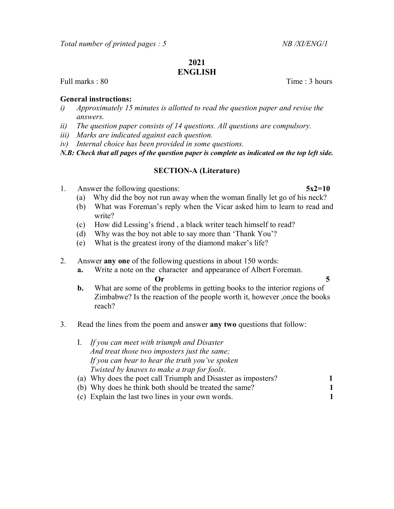## 2021 ENGLISH

Full marks : 80 Time : 3 hours

## General instructions:

- i) Approximately 15 minutes is allotted to read the question paper and revise the answers.
- ii) The question paper consists of 14 questions. All questions are compulsory.
- iii) Marks are indicated against each question.
- iv) Internal choice has been provided in some questions.

N.B: Check that all pages of the question paper is complete as indicated on the top left side.

#### SECTION-A (Literature)

1. Answer the following questions:  $5x^2=10$ 

- (a) Why did the boy not run away when the woman finally let go of his neck?
- (b) What was Foreman's reply when the Vicar asked him to learn to read and write?
- (c) How did Lessing's friend , a black writer teach himself to read?
- (d) Why was the boy not able to say more than 'Thank You'?
- (e) What is the greatest irony of the diamond maker's life?
- 2. Answer any one of the following questions in about 150 words:
- a. Write a note on the character and appearance of Albert Foreman.  $\sigma$  5
	-

- b. What are some of the problems in getting books to the interior regions of Zimbabwe? Is the reaction of the people worth it, however ,once the books reach?
- 3. Read the lines from the poem and answer any two questions that follow:
	- I. If you can meet with triumph and Disaster And treat those two imposters just the same; If you can bear to hear the truth you've spoken Twisted by knaves to make a trap for fools. (a) Why does the poet call Triumph and Disaster as imposters? 1
	- (b) Why does he think both should be treated the same? 1
	- $(c)$  Explain the last two lines in your own words.  $1$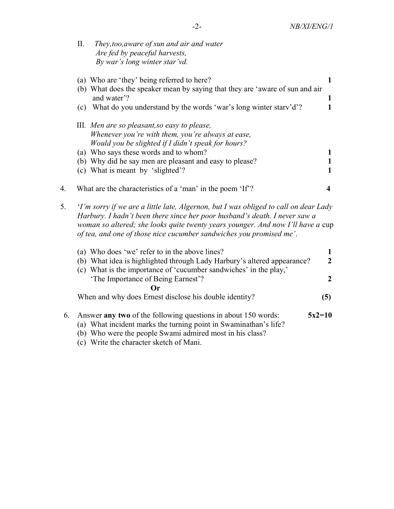By war's long winter star'vd.

|  | (a) Who are 'they' being referred to here?                                                  |  |
|--|---------------------------------------------------------------------------------------------|--|
|  | (b) What does the speaker mean by saying that they are 'aware of sun and air<br>and water'? |  |
|  | (c) What do you understand by the words 'war's long winter stary'd'?                        |  |
|  | III. Men are so pleasant, so easy to please,                                                |  |
|  | Whenever you're with them, you're always at ease,                                           |  |
|  | Would you be slighted if I didn't speak for hours?                                          |  |
|  | (a) Who says these words and to whom?                                                       |  |
|  | (b) Why did he say men are pleasant and easy to please?                                     |  |
|  | (c) What is meant by 'slighted'?                                                            |  |
|  |                                                                                             |  |
|  | What are the characteristics of a 'man' in the poem 'If'?                                   |  |
|  |                                                                                             |  |

5. 'I'm sorry if we are a little late, Algernon, but I was obliged to call on dear Lady Harbury. I hadn't been there since her poor husband's death. I never saw a woman so altered; she looks quite twenty years younger. And now I'll have a cup of tea, and one of those nice cucumber sandwiches you promised me'.

| (a) Who does 'we' refer to in the above lines?                          |              |
|-------------------------------------------------------------------------|--------------|
| (b) What idea is highlighted through Lady Harbury's altered appearance? | $\mathbf{Z}$ |
| (c) What is the importance of 'cucumber sandwiches' in the play,'       |              |
| 'The Importance of Being Earnest'?                                      |              |
|                                                                         |              |
| When and why does Ernest disclose his double identity?                  | (5)          |
| 6. Answer any two of the following questions in about 150 words:        | $5x2=10$     |

- (a) What incident marks the turning point in Swaminathan's life?
- (b) Who were the people Swami admired most in his class?
- (c) Write the character sketch of Mani.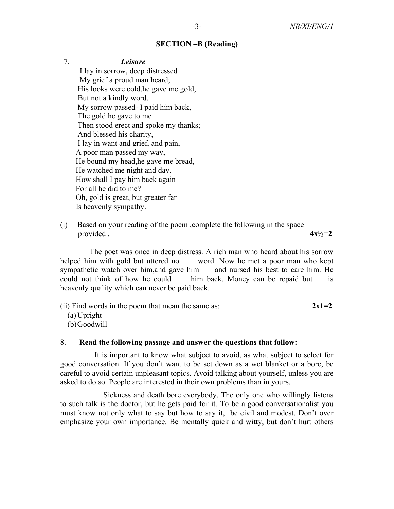## SECTION –B (Reading)

7. Leisure I lay in sorrow, deep distressed My grief a proud man heard; His looks were cold,he gave me gold, But not a kindly word. My sorrow passed- I paid him back, The gold he gave to me Then stood erect and spoke my thanks; And blessed his charity, I lay in want and grief, and pain, A poor man passed my way, He bound my head,he gave me bread, He watched me night and day. How shall I pay him back again For all he did to me? Oh, gold is great, but greater far Is heavenly sympathy.

(i) Based on your reading of the poem ,complete the following in the space provided .  $4x\frac{1}{2}$ 

 The poet was once in deep distress. A rich man who heard about his sorrow helped him with gold but uttered no word. Now he met a poor man who kept sympathetic watch over him, and gave him and nursed his best to care him. He could not think of how he could him back. Money can be repaid but is heavenly quality which can never be paid back.

- (ii) Find words in the poem that mean the same as:  $2x1=2$ 
	- (a) Upright
	- (b)Goodwill

#### 8. Read the following passage and answer the questions that follow:

 It is important to know what subject to avoid, as what subject to select for good conversation. If you don't want to be set down as a wet blanket or a bore, be careful to avoid certain unpleasant topics. Avoid talking about yourself, unless you are asked to do so. People are interested in their own problems than in yours.

 Sickness and death bore everybody. The only one who willingly listens to such talk is the doctor, but he gets paid for it. To be a good conversationalist you must know not only what to say but how to say it, be civil and modest. Don't over emphasize your own importance. Be mentally quick and witty, but don't hurt others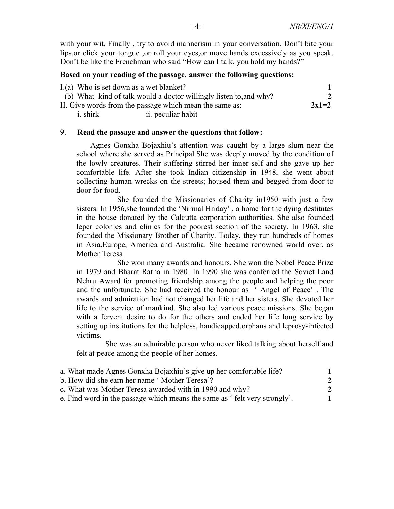with your wit. Finally , try to avoid mannerism in your conversation. Don't bite your lips,or click your tongue ,or roll your eyes,or move hands excessively as you speak. Don't be like the Frenchman who said "How can I talk, you hold my hands?"

## Based on your reading of the passage, answer the following questions:

|                                                         | I.(a) Who is set down as a wet blanket?                            |               |
|---------------------------------------------------------|--------------------------------------------------------------------|---------------|
|                                                         | (b) What kind of talk would a doctor willingly listen to, and why? | $\mathcal{L}$ |
| II. Give words from the passage which mean the same as: | $2x1=2$                                                            |               |
| <i>i</i> . shirk                                        | ii. peculiar habit                                                 |               |

# 9. Read the passage and answer the questions that follow:

 Agnes Gonxha Bojaxhiu's attention was caught by a large slum near the school where she served as Principal.She was deeply moved by the condition of the lowly creatures. Their suffering stirred her inner self and she gave up her comfortable life. After she took Indian citizenship in 1948, she went about collecting human wrecks on the streets; housed them and begged from door to door for food.

 She founded the Missionaries of Charity in1950 with just a few sisters. In 1956,she founded the 'Nirmal Hriday' , a home for the dying destitutes in the house donated by the Calcutta corporation authorities. She also founded leper colonies and clinics for the poorest section of the society. In 1963, she founded the Missionary Brother of Charity. Today, they run hundreds of homes in Asia,Europe, America and Australia. She became renowned world over, as Mother Teresa

 She won many awards and honours. She won the Nobel Peace Prize in 1979 and Bharat Ratna in 1980. In 1990 she was conferred the Soviet Land Nehru Award for promoting friendship among the people and helping the poor and the unfortunate. She had received the honour as ' Angel of Peace' . The awards and admiration had not changed her life and her sisters. She devoted her life to the service of mankind. She also led various peace missions. She began with a fervent desire to do for the others and ended her life long service by setting up institutions for the helpless, handicapped,orphans and leprosy-infected victims.

 She was an admirable person who never liked talking about herself and felt at peace among the people of her homes.

| a. What made Agnes Gonxha Bojaxhiu's give up her comfortable life?        |              |
|---------------------------------------------------------------------------|--------------|
| b. How did she earn her name 'Mother Teresa'?                             | $\mathbf{2}$ |
| c. What was Mother Teresa awarded with in 1990 and why?                   | $\mathbf{2}$ |
| e. Find word in the passage which means the same as 'felt very strongly'. |              |